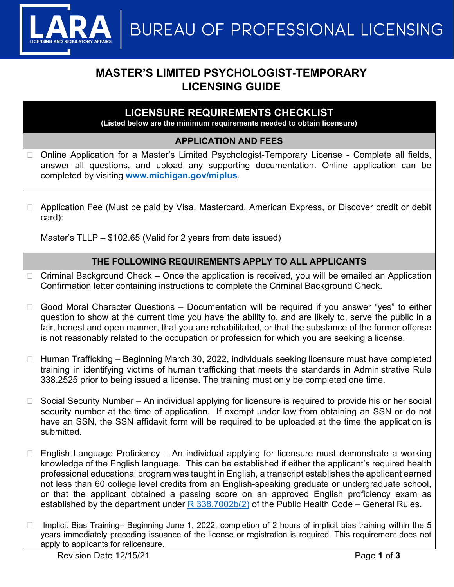**BUREAU OF PROFESSIONAL LICENSING** 

# **MASTER'S LIMITED PSYCHOLOGIST-TEMPORARY LICENSING GUIDE**

## **LICENSURE REQUIREMENTS CHECKLIST**

**(Listed below are the minimum requirements needed to obtain licensure)**

### **APPLICATION AND FEES**

- Online Application for a Master's Limited Psychologist-Temporary License Complete all fields, answer all questions, and upload any supporting documentation. Online application can be completed by visiting **[www.michigan.gov/miplus](http://www.michigan.gov/miplus)**.
- □ Application Fee (Must be paid by Visa, Mastercard, American Express, or Discover credit or debit card):

Master's TLLP – \$102.65 (Valid for 2 years from date issued)

### **THE FOLLOWING REQUIREMENTS APPLY TO ALL APPLICANTS**

- $\Box$  Criminal Background Check Once the application is received, you will be emailed an Application Confirmation letter containing instructions to complete the Criminal Background Check.
- Good Moral Character Questions Documentation will be required if you answer "yes" to either question to show at the current time you have the ability to, and are likely to, serve the public in a fair, honest and open manner, that you are rehabilitated, or that the substance of the former offense is not reasonably related to the occupation or profession for which you are seeking a license.
- $\Box$  Human Trafficking Beginning March 30, 2022, individuals seeking licensure must have completed training in identifying victims of human trafficking that meets the standards in Administrative Rule 338.2525 prior to being issued a license. The training must only be completed one time.
- $\Box$  Social Security Number An individual applying for licensure is required to provide his or her social security number at the time of application. If exempt under law from obtaining an SSN or do not have an SSN, the SSN affidavit form will be required to be uploaded at the time the application is submitted.
- $\Box$  English Language Proficiency An individual applying for licensure must demonstrate a working knowledge of the English language. This can be established if either the applicant's required health professional educational program was taught in English, a transcript establishes the applicant earned not less than 60 college level credits from an English-speaking graduate or undergraduate school, or that the applicant obtained a passing score on an approved English proficiency exam as established by the department under  $R$  338.7002b(2) of the Public Health Code – General Rules.
- □ Implicit Bias Training– Beginning June 1, 2022, completion of 2 hours of implicit bias training within the 5 years immediately preceding issuance of the license or registration is required. This requirement does not apply to applicants for relicensure.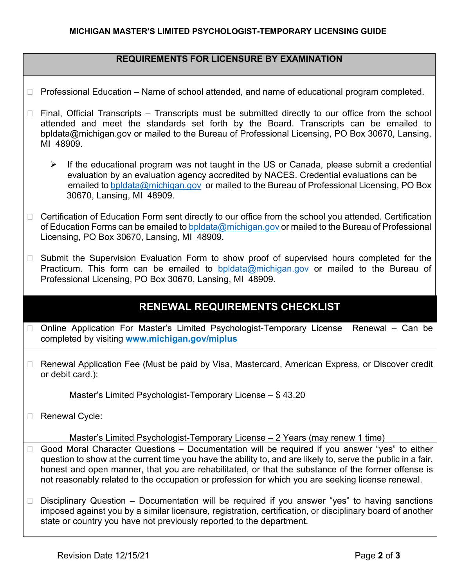### **REQUIREMENTS FOR LICENSURE BY EXAMINATION**

- $\Box$  Professional Education Name of school attended, and name of educational program completed.
- $\Box$  Final, Official Transcripts Transcripts must be submitted directly to our office from the school attended and meet the standards set forth by the Board. Transcripts can be emailed to bpldata@michigan.gov or mailed to the Bureau of Professional Licensing, PO Box 30670, Lansing, MI 48909.
	- $\triangleright$  If the educational program was not taught in the US or Canada, please submit a credential evaluation by an evaluation agency accredited by NACES. Credential evaluations can be emailed to [bpldata@michigan.gov](mailto:bpldata@michigan.gov) or mailed to the Bureau of Professional Licensing, PO Box 30670, Lansing, MI 48909.
- □ Certification of Education Form sent directly to our office from the school you attended. Certification of Education Forms can be emailed t[o bpldata@michigan.gov](mailto:bpldata@michigan.gov) or mailed to the Bureau of Professional Licensing, PO Box 30670, Lansing, MI 48909.
- □ Submit the Supervision Evaluation Form to show proof of supervised hours completed for the Practicum. This form can be emailed to [bpldata@michigan.gov](mailto:bpldata@michigan.gov) or mailed to the Bureau of Professional Licensing, PO Box 30670, Lansing, MI 48909.

## **RENEWAL REQUIREMENTS CHECKLIST**

- □ Online Application For Master's Limited Psychologist-Temporary License Renewal Can be completed by visiting **www.michigan.gov/miplus**
- □ Renewal Application Fee (Must be paid by Visa, Mastercard, American Express, or Discover credit or debit card.):

Master's Limited Psychologist-Temporary License – \$ 43.20

□ Renewal Cycle:

Master's Limited Psychologist-Temporary License – 2 Years (may renew 1 time)

- $\Box$  Good Moral Character Questions Documentation will be required if you answer "yes" to either question to show at the current time you have the ability to, and are likely to, serve the public in a fair, honest and open manner, that you are rehabilitated, or that the substance of the former offense is not reasonably related to the occupation or profession for which you are seeking license renewal.
- $\Box$  Disciplinary Question Documentation will be required if you answer "yes" to having sanctions imposed against you by a similar licensure, registration, certification, or disciplinary board of another state or country you have not previously reported to the department.